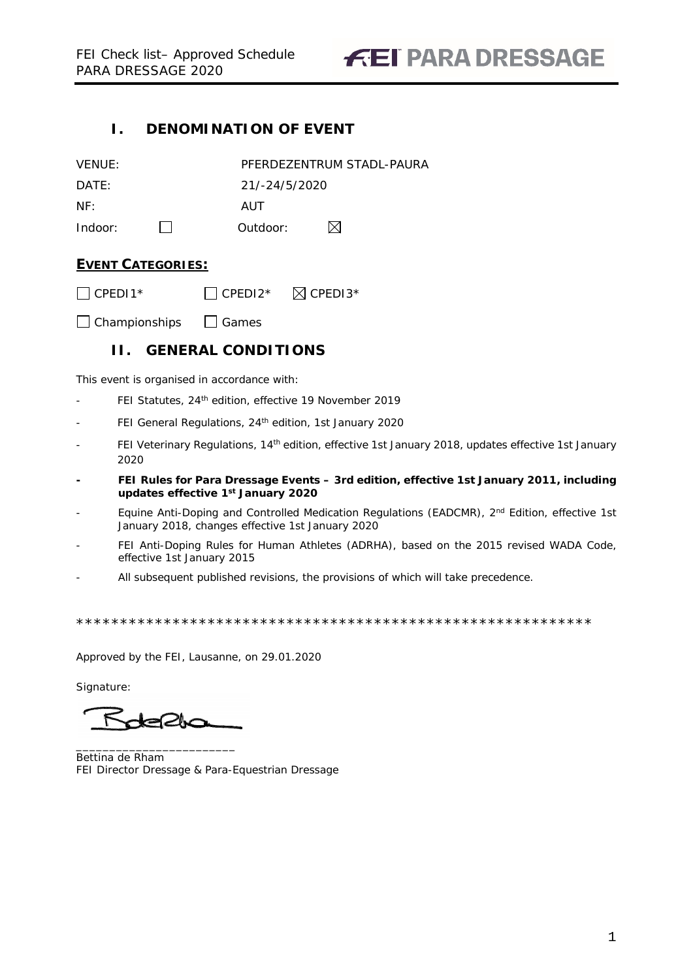### <span id="page-0-0"></span>**I. DENOMINATION OF EVENT**

| VENUE:  |               | PFERDEZENTRUM STADL-PAURA |
|---------|---------------|---------------------------|
| DATF:   | 21/-24/5/2020 |                           |
| NF:     | AUT           |                           |
| Indoor: | Outdoor:      | M                         |

### **EVENT CATEGORIES:**

 $\Box$  CPEDI1\*  $\Box$  CPEDI2\*  $\Box$  CPEDI3\*

<span id="page-0-1"></span> $\Box$  Championships  $\Box$  Games

### **II. GENERAL CONDITIONS**

This event is organised in accordance with:

- FEI Statutes, 24<sup>th</sup> edition, effective 19 November 2019
- FEI General Regulations, 24<sup>th</sup> edition, 1st January 2020
- FEI Veterinary Regulations, 14<sup>th</sup> edition, effective 1st January 2018, updates effective 1st January 2020
- **- FEI Rules for Para Dressage Events – 3rd edition, effective 1st January 2011, including updates effective 1st January 2020**
- Equine Anti-Doping and Controlled Medication Regulations (EADCMR), 2<sup>nd</sup> Edition, effective 1st January 2018, changes effective 1st January 2020
- FEI Anti-Doping Rules for Human Athletes (ADRHA), based on the 2015 revised WADA Code, effective 1st January 2015
- All subsequent published revisions, the provisions of which will take precedence.

\*\*\*\*\*\*\*\*\*\*\*\*\*\*\*\*\*\*\*\*\*\*\*\*\*\*\*\*\*\*\*\*\*\*\*\*\*\*\*\*\*\*\*\*\*\*\*\*\*\*\*\*\*\*\*\*\*\*\*

Approved by the FEI, Lausanne, on 29.01.2020

Signature:

⊷⊘∿

\_\_\_\_\_\_\_\_\_\_\_\_\_\_\_\_\_\_\_\_\_\_\_\_ Bettina de Rham FEI Director Dressage & Para-Equestrian Dressage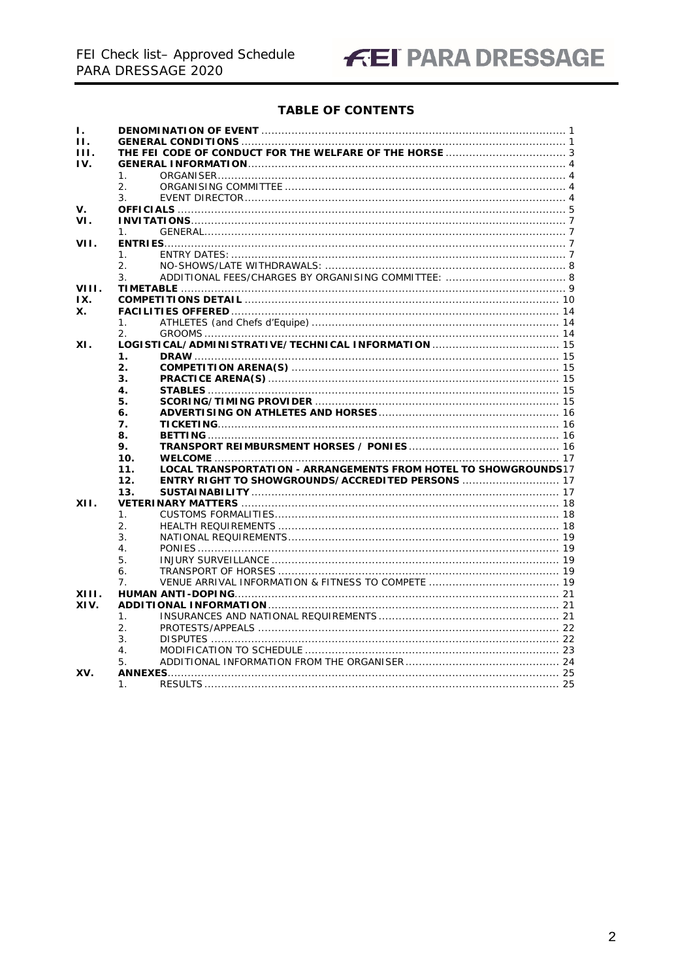# **FEI PARA DRESSAGE**

### **TABLE OF CONTENTS**

| Ι.    |                                                                        |  |
|-------|------------------------------------------------------------------------|--|
| Н.    |                                                                        |  |
| HL.   |                                                                        |  |
| IV.   |                                                                        |  |
|       | $\mathbf{1}$ .                                                         |  |
|       | 2 <sub>1</sub>                                                         |  |
|       |                                                                        |  |
| V.    | 3.                                                                     |  |
| VI.   |                                                                        |  |
|       |                                                                        |  |
|       | 1 <sub>1</sub>                                                         |  |
| VII.  |                                                                        |  |
|       | $\mathbf{1}$ .                                                         |  |
|       | 2.                                                                     |  |
|       | 3.                                                                     |  |
| VIII. |                                                                        |  |
| IX.   |                                                                        |  |
| Х.    |                                                                        |  |
|       | $\mathbf{1}$ .                                                         |  |
|       | 2.                                                                     |  |
| XI.   |                                                                        |  |
|       | 1.                                                                     |  |
|       | 2.                                                                     |  |
|       | 3.                                                                     |  |
|       | 4.                                                                     |  |
|       | 5.                                                                     |  |
|       | 6.                                                                     |  |
|       | 7.                                                                     |  |
|       | 8.                                                                     |  |
|       | 9.                                                                     |  |
|       | 10.                                                                    |  |
|       | LOCAL TRANSPORTATION - ARRANGEMENTS FROM HOTEL TO SHOWGROUNDS17<br>11. |  |
|       | <b>ENTRY RIGHT TO SHOWGROUNDS/ACCREDITED PERSONS  17</b><br>12.        |  |
|       | 13.                                                                    |  |
| XII.  |                                                                        |  |
|       | 1.                                                                     |  |
|       | 2.                                                                     |  |
|       | 3.                                                                     |  |
|       | $\overline{4}$                                                         |  |
|       | 5.                                                                     |  |
|       | 6.                                                                     |  |
|       | 7 <sub>1</sub>                                                         |  |
|       |                                                                        |  |
| XIII. |                                                                        |  |
| XIV.  |                                                                        |  |
|       | $\mathbf{1}$ .                                                         |  |
|       | 2.                                                                     |  |
|       | 3.                                                                     |  |
|       | 4.                                                                     |  |
|       | 5.                                                                     |  |
| XV.   |                                                                        |  |
|       | 1.<br>25                                                               |  |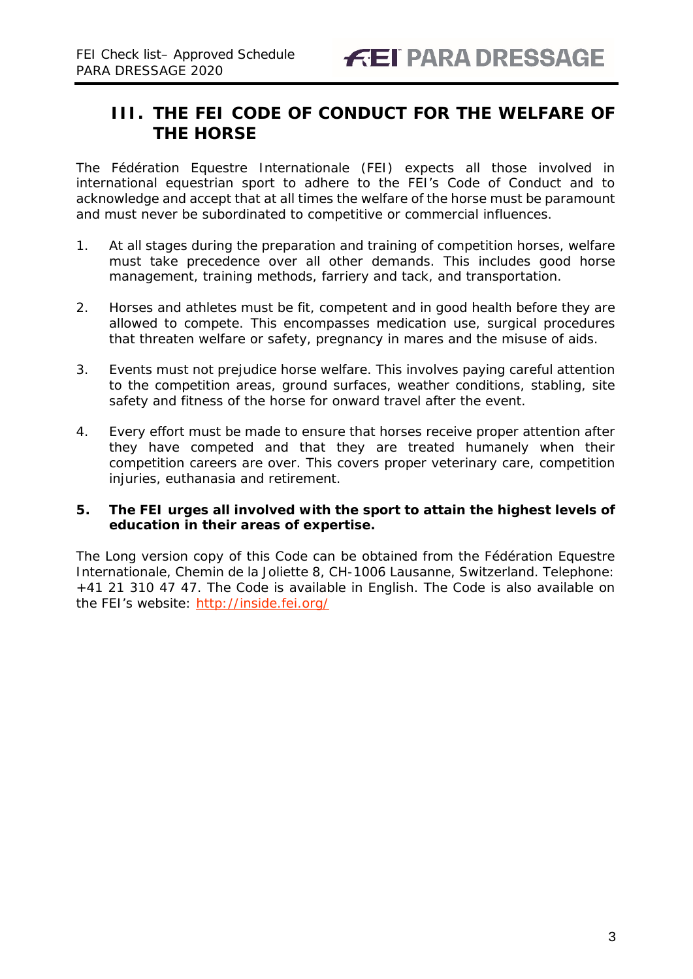### <span id="page-2-0"></span>**III. THE FEI CODE OF CONDUCT FOR THE WELFARE OF THE HORSE**

The Fédération Equestre Internationale (FEI) expects all those involved in international equestrian sport to adhere to the FEI's Code of Conduct and to acknowledge and accept that at all times the welfare of the horse must be paramount and must never be subordinated to competitive or commercial influences.

- 1. At all stages during the preparation and training of competition horses, welfare must take precedence over all other demands. This includes good horse management, training methods, farriery and tack, and transportation.
- 2. Horses and athletes must be fit, competent and in good health before they are allowed to compete. This encompasses medication use, surgical procedures that threaten welfare or safety, pregnancy in mares and the misuse of aids.
- 3. Events must not prejudice horse welfare. This involves paying careful attention to the competition areas, ground surfaces, weather conditions, stabling, site safety and fitness of the horse for onward travel after the event.
- 4. Every effort must be made to ensure that horses receive proper attention after they have competed and that they are treated humanely when their competition careers are over. This covers proper veterinary care, competition injuries, euthanasia and retirement.

### **5. The FEI urges all involved with the sport to attain the highest levels of education in their areas of expertise.**

The Long version copy of this Code can be obtained from the Fédération Equestre Internationale, Chemin de la Joliette 8, CH-1006 Lausanne, Switzerland. Telephone: +41 21 310 47 47. The Code is available in English. The Code is also available on the FEI's website:<http://inside.fei.org/>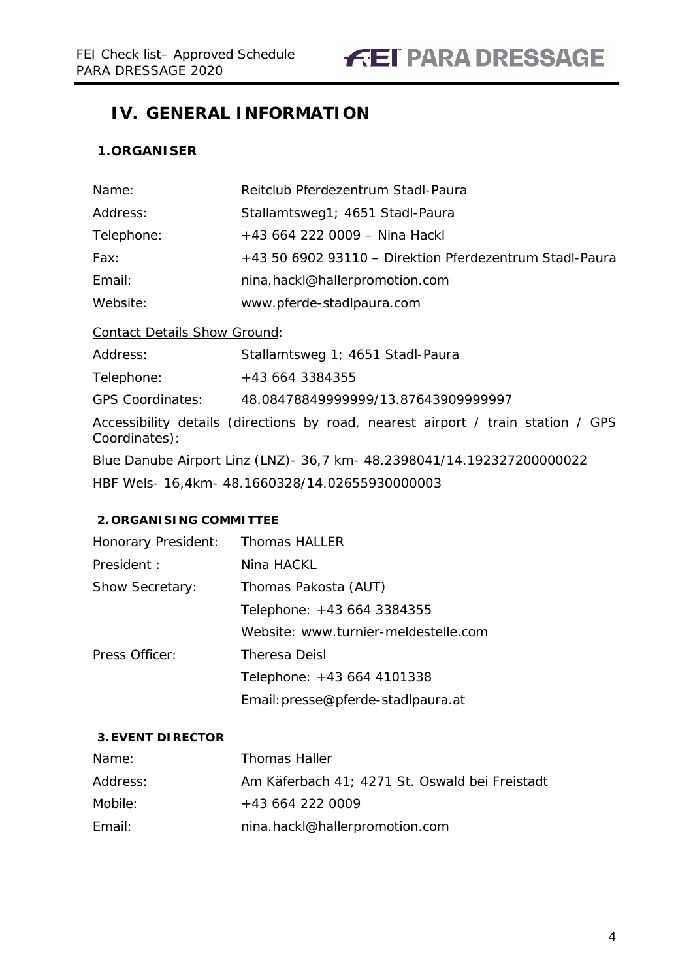### <span id="page-3-0"></span>**IV. GENERAL INFORMATION**

### <span id="page-3-1"></span>**1.ORGANISER**

| Name:                               | Reitclub Pferdezentrum Stadl-Paura                                               |
|-------------------------------------|----------------------------------------------------------------------------------|
| Address:                            | Stallamtsweg1; 4651 Stadl-Paura                                                  |
| Telephone:                          | +43 664 222 0009 - Nina Hackl                                                    |
| Fax:                                | +43 50 6902 93110 - Direktion Pferdezentrum Stadl-Paura                          |
| Email:                              | nina.hackl@hallerpromotion.com                                                   |
| Website:                            | www.pferde-stadlpaura.com                                                        |
| <b>Contact Details Show Ground:</b> |                                                                                  |
| Address:                            | Stallamtsweg 1; 4651 Stadl-Paura                                                 |
| Telephone:                          | +43 664 3384355                                                                  |
| <b>GPS Coordinates:</b>             | 48.08478849999999/13.87643909999997                                              |
| Coordinates):                       | Accessibility details (directions by road, nearest airport / train station / GPS |
|                                     | Blue Danube Airport Linz (LNZ) - 36,7 km - 48.2398041/14.192327200000022         |
|                                     | HBF Wels- 16,4km- 48.1660328/14.02655930000003                                   |

### <span id="page-3-2"></span>**2. ORGANISING COMMITTEE**

| Honorary President:    | <b>Thomas HALLER</b>                 |
|------------------------|--------------------------------------|
| President:             | Nina HACKL                           |
| <b>Show Secretary:</b> | Thomas Pakosta (AUT)                 |
|                        | Telephone: +43 664 3384355           |
|                        | Website: www.turnier-meldestelle.com |
| Press Officer:         | <b>Theresa Deisl</b>                 |
|                        | Telephone: +43 664 4101338           |
|                        | Email: presse@pferde-stadlpaura.at   |

### <span id="page-3-3"></span>**3.EVENT DIRECTOR**

| Name:    | <b>Thomas Haller</b>                           |
|----------|------------------------------------------------|
| Address: | Am Käferbach 41; 4271 St. Oswald bei Freistadt |
| Mobile:  | +43 664 222 0009                               |
| Email:   | nina.hackl@hallerpromotion.com                 |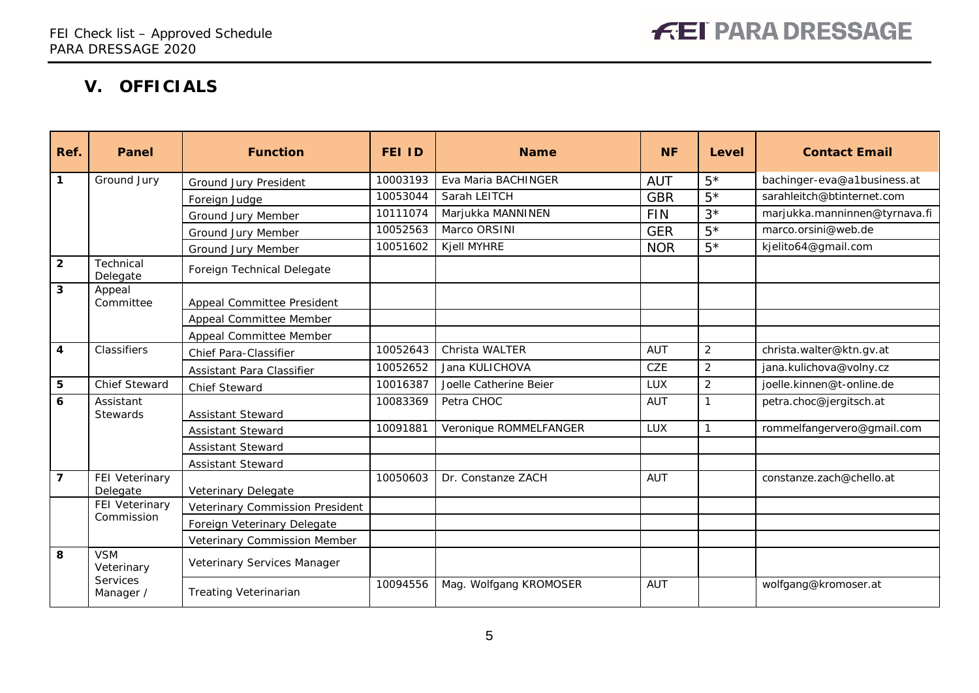## **V. OFFICIALS**

<span id="page-4-0"></span>

| Ref.                    | Panel                        | <b>Function</b>                 | <b>FEI ID</b> | <b>Name</b>            | <b>NF</b>  | Level          | <b>Contact Email</b>          |
|-------------------------|------------------------------|---------------------------------|---------------|------------------------|------------|----------------|-------------------------------|
| $\mathbf{1}$            | Ground Jury                  | Ground Jury President           | 10003193      | Eva Maria BACHINGER    | <b>AUT</b> | $5*$           | bachinger-eva@a1business.at   |
|                         |                              | Foreign Judge                   | 10053044      | Sarah LEITCH           | <b>GBR</b> | $5*$           | sarahleitch@btinternet.com    |
|                         |                              | Ground Jury Member              | 10111074      | Marjukka MANNINEN      | <b>FIN</b> | $3^{\star}$    | marjukka.manninnen@tyrnava.fi |
|                         |                              | Ground Jury Member              | 10052563      | Marco ORSINI           | <b>GER</b> | $5*$           | marco.orsini@web.de           |
|                         |                              | Ground Jury Member              | 10051602      | Kjell MYHRE            | <b>NOR</b> | $5*$           | kjelito64@gmail.com           |
| $\overline{2}$          | Technical<br>Delegate        | Foreign Technical Delegate      |               |                        |            |                |                               |
| $\mathbf{3}$            | Appeal<br>Committee          | Appeal Committee President      |               |                        |            |                |                               |
|                         |                              | Appeal Committee Member         |               |                        |            |                |                               |
|                         |                              | Appeal Committee Member         |               |                        |            |                |                               |
| $\overline{\mathbf{4}}$ | Classifiers                  | <b>Chief Para-Classifier</b>    | 10052643      | Christa WALTER         | <b>AUT</b> | $\overline{2}$ | christa.walter@ktn.gv.at      |
|                         |                              | Assistant Para Classifier       | 10052652      | Jana KULICHOVA         | <b>CZE</b> | $\overline{2}$ | jana.kulichova@volny.cz       |
| $5\phantom{1}$          | <b>Chief Steward</b>         | <b>Chief Steward</b>            | 10016387      | Joelle Catherine Beier | <b>LUX</b> | $\overline{2}$ | joelle.kinnen@t-online.de     |
| 6                       | Assistant<br><b>Stewards</b> | <b>Assistant Steward</b>        | 10083369      | Petra CHOC             | <b>AUT</b> | 1              | petra.choc@jergitsch.at       |
|                         |                              | Assistant Steward               | 10091881      | Veronique ROMMELFANGER | <b>LUX</b> | $\mathbf{1}$   | rommelfangervero@gmail.com    |
|                         |                              | Assistant Steward               |               |                        |            |                |                               |
|                         |                              | Assistant Steward               |               |                        |            |                |                               |
| $\overline{\mathbf{z}}$ | FEI Veterinary<br>Delegate   | Veterinary Delegate             | 10050603      | Dr. Constanze ZACH     | <b>AUT</b> |                | constanze.zach@chello.at      |
|                         | FEI Veterinary               | Veterinary Commission President |               |                        |            |                |                               |
|                         | Commission                   | Foreign Veterinary Delegate     |               |                        |            |                |                               |
|                         |                              | Veterinary Commission Member    |               |                        |            |                |                               |
| 8                       | <b>VSM</b><br>Veterinary     | Veterinary Services Manager     |               |                        |            |                |                               |
|                         | Services<br>Manager /        | <b>Treating Veterinarian</b>    | 10094556      | Mag. Wolfgang KROMOSER | <b>AUT</b> |                | wolfgang@kromoser.at          |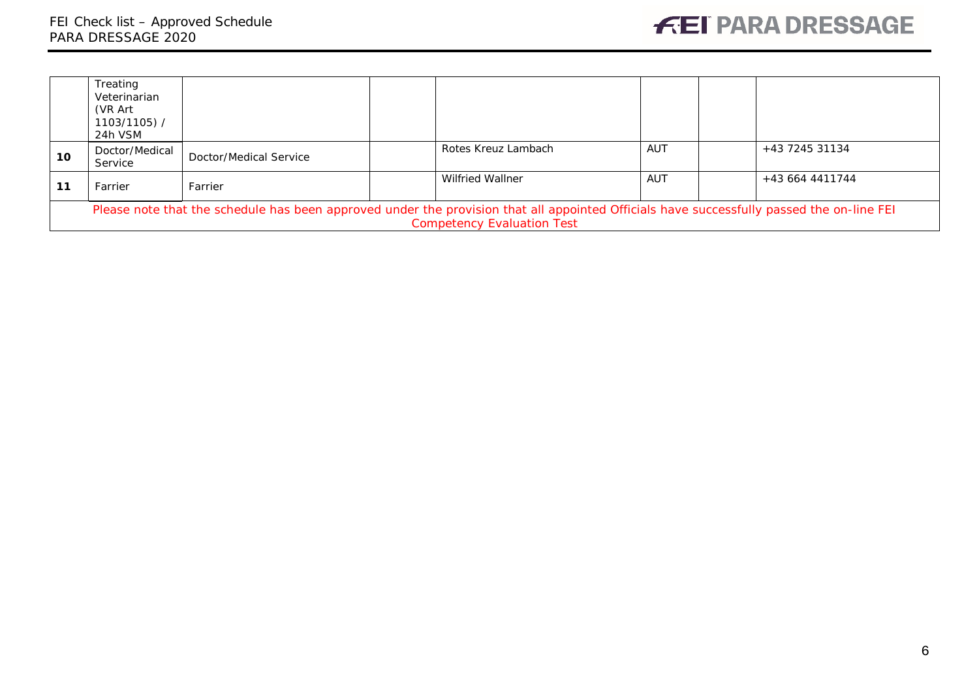|    | Treating<br>Veterinarian<br>(VR Art<br>1103/1105) /<br>24h VSM                                                                                                                 |                        |  |                         |     |  |                 |
|----|--------------------------------------------------------------------------------------------------------------------------------------------------------------------------------|------------------------|--|-------------------------|-----|--|-----------------|
| 10 | Doctor/Medical<br>Service                                                                                                                                                      | Doctor/Medical Service |  | Rotes Kreuz Lambach     | AUT |  | +43 7245 31134  |
| 11 | Farrier                                                                                                                                                                        | Farrier                |  | <b>Wilfried Wallner</b> | AUT |  | +43 664 4411744 |
|    | Please note that the schedule has been approved under the provision that all appointed Officials have successfully passed the on-line FEI<br><b>Competency Evaluation Test</b> |                        |  |                         |     |  |                 |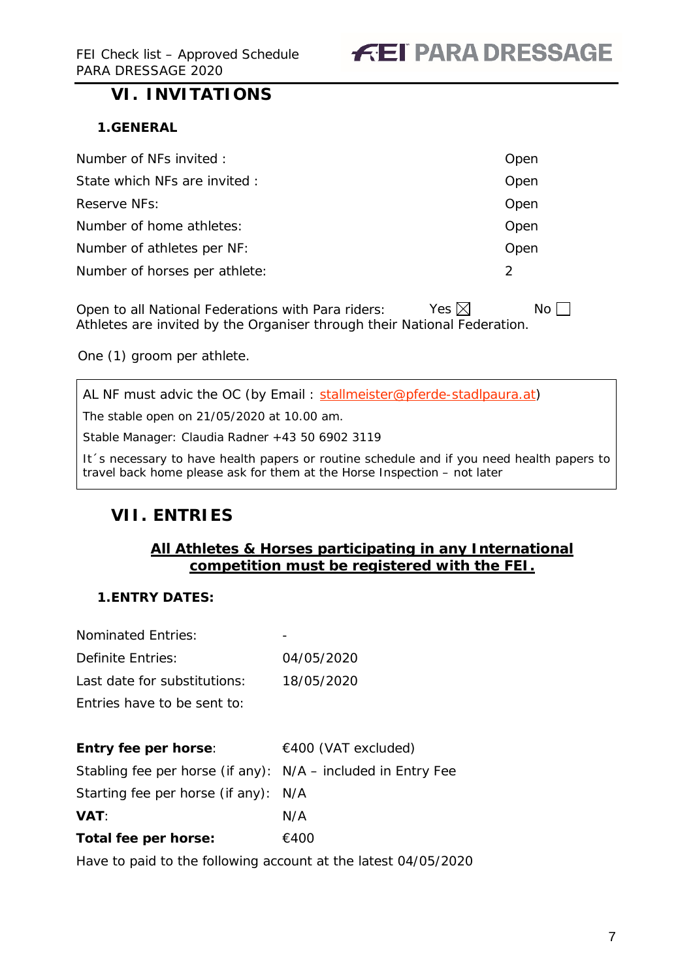### <span id="page-6-0"></span>**VI. INVITATIONS**

### <span id="page-6-1"></span>**1.GENERAL**

| Number of NFs invited :       | Open          |
|-------------------------------|---------------|
| State which NFs are invited : | Open          |
| Reserve NFs:                  | Open          |
| Number of home athletes:      | Open          |
| Number of athletes per NF:    | Open          |
| Number of horses per athlete: | $\mathcal{P}$ |

Open to all National Federations with Para riders: Yes  $\boxtimes$  No  $\Box$ Athletes are invited by the Organiser through their National Federation.

One (1) groom per athlete.

AL NF must advic the OC (by Email : [stallmeister@pferde-stadlpaura.at\)](mailto:stallmeister@pferde-stadlpaura.at)

The stable open on 21/05/2020 at 10.00 am.

Stable Manager: Claudia Radner +43 50 6902 3119

It´s necessary to have health papers or routine schedule and if you need health papers to travel back home please ask for them at the Horse Inspection – not later

### <span id="page-6-2"></span>**VII. ENTRIES**

### **All Athletes & Horses participating in any International competition must be registered with the FEI.**

### <span id="page-6-3"></span>**1.ENTRY DATES:**

Nominated Entries:

| Definite Entries:                                            | 04/05/2020          |
|--------------------------------------------------------------|---------------------|
| Last date for substitutions:                                 | 18/05/2020          |
| Fotries have to be sent to:                                  |                     |
|                                                              |                     |
| <b>Entry fee per horse:</b>                                  | €400 (VAT excluded) |
| Stabling fee per horse (if any): N/A – included in Entry Fee |                     |
| Starting fee per horse (if any):                             | N/A                 |
| <b>VAT:</b>                                                  | N/A                 |
| Total fee per horse:                                         | €400                |

Have to paid to the following account at the latest 04/05/2020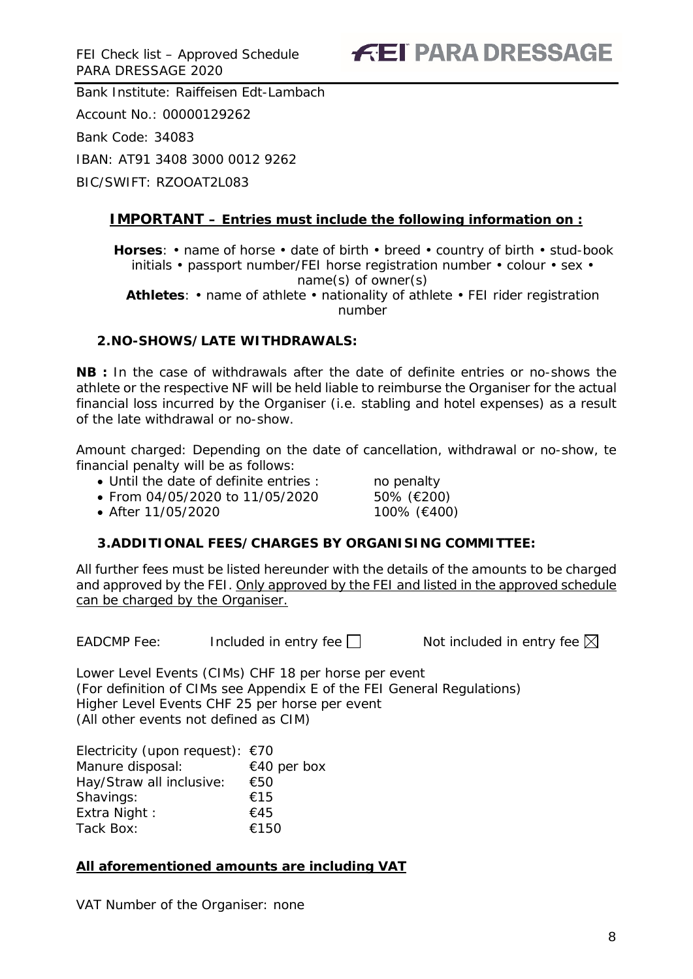Bank Institute: Raiffeisen Edt-Lambach Account No.: 00000129262 Bank Code: 34083 IBAN: AT91 3408 3000 0012 9262 BIC/SWIFT: RZOOAT2L083

### **IMPORTANT – Entries must include the following information on :**

**Horses**: • name of horse • date of birth • breed • country of birth • stud-book initials • passport number/FEI horse registration number • colour • sex • name(s) of owner(s)

**Athletes**: • name of athlete • nationality of athlete • FEI rider registration number

### <span id="page-7-0"></span>**2.NO-SHOWS/LATE WITHDRAWALS:**

**NB :** In the case of withdrawals after the date of definite entries or no-shows the athlete or the respective NF will be held liable to reimburse the Organiser for the actual financial loss incurred by the Organiser (i.e. stabling and hotel expenses) as a result of the late withdrawal or no-show.

Amount charged: Depending on the date of cancellation, withdrawal or no-show, te financial penalty will be as follows:

- Until the date of definite entries : no penalty
- From 04/05/2020 to 11/05/2020 50% (€200)

• After 11/05/2020 100% (€400)

### <span id="page-7-1"></span>**3.ADDITIONAL FEES/CHARGES BY ORGANISING COMMITTEE:**

All further fees must be listed hereunder with the details of the amounts to be charged and approved by the FEI. Only approved by the FEI and listed in the approved schedule can be charged by the Organiser.

EADCMP Fee: Included in entry fee  $\Box$  Not included in entry fee  $\boxtimes$ 

Lower Level Events (CIMs) CHF 18 per horse per event (For definition of CIMs see Appendix E of the FEI General Regulations) Higher Level Events CHF 25 per horse per event (All other events not defined as CIM)

Electricity (upon request): €70 Manure disposal: €40 per box Hay/Straw all inclusive: €50 Shavings: €15 Extra Night :  $\epsilon$ 45 Tack Box: €150

### **All aforementioned amounts are including VAT**

VAT Number of the Organiser: none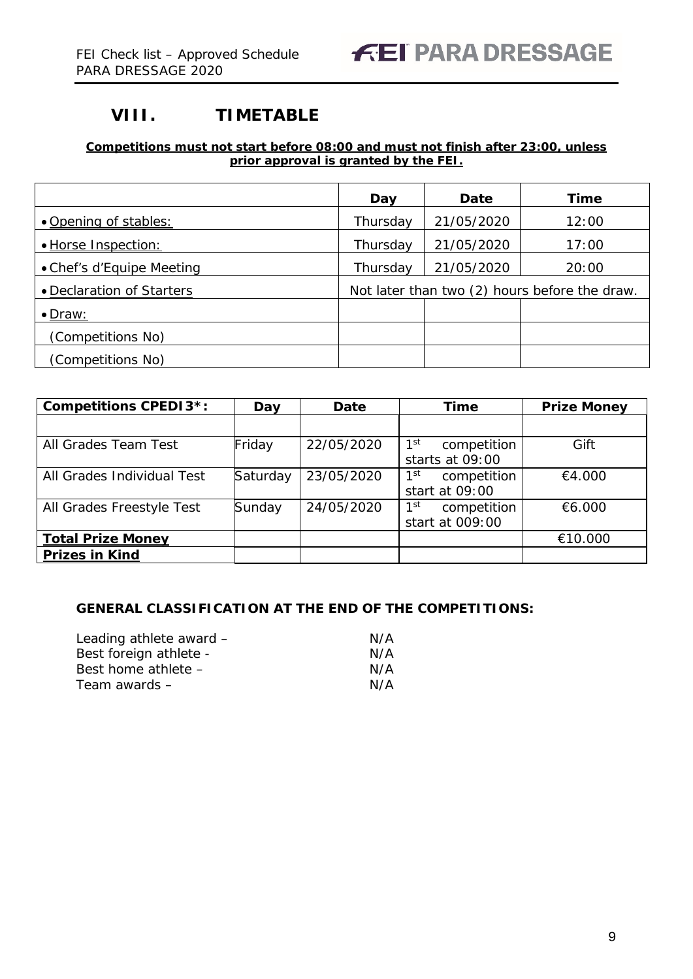### <span id="page-8-0"></span>**VIII. TIMETABLE**

### **Competitions must not start before 08:00 and must not finish after 23:00, unless prior approval is granted by the FEI.**

|                           | Day                                           | Date       | Time  |  |  |
|---------------------------|-----------------------------------------------|------------|-------|--|--|
| • Opening of stables:     | Thursday                                      | 21/05/2020 | 12:00 |  |  |
| · Horse Inspection:       | Thursday                                      | 21/05/2020 | 17:00 |  |  |
| • Chef's d'Equipe Meeting | Thursday                                      | 21/05/2020 | 20:00 |  |  |
| • Declaration of Starters | Not later than two (2) hours before the draw. |            |       |  |  |
| $\bullet$ Draw:           |                                               |            |       |  |  |
| (Competitions No)         |                                               |            |       |  |  |
| (Competitions No)         |                                               |            |       |  |  |

| <b>Competitions CPEDI3*:</b> | Day      | Date       | <b>Time</b>                                       | <b>Prize Money</b> |
|------------------------------|----------|------------|---------------------------------------------------|--------------------|
|                              |          |            |                                                   |                    |
| All Grades Team Test         | Friday   | 22/05/2020 | 1 <sup>st</sup><br>competition<br>starts at 09:00 | Gift               |
| All Grades Individual Test   | Saturday | 23/05/2020 | 1 <sup>st</sup><br>competition<br>start at 09:00  | €4.000             |
| All Grades Freestyle Test    | Sunday   | 24/05/2020 | 1 <sup>st</sup><br>competition<br>start at 009:00 | €6.000             |
| <b>Total Prize Money</b>     |          |            |                                                   | €10.000            |
| <b>Prizes in Kind</b>        |          |            |                                                   |                    |

### **GENERAL CLASSIFICATION AT THE END OF THE COMPETITIONS:**

| Leading athlete award - | N/A |
|-------------------------|-----|
| Best foreign athlete -  | N/A |
| Best home athlete -     | N/A |
| Team awards –           | N/A |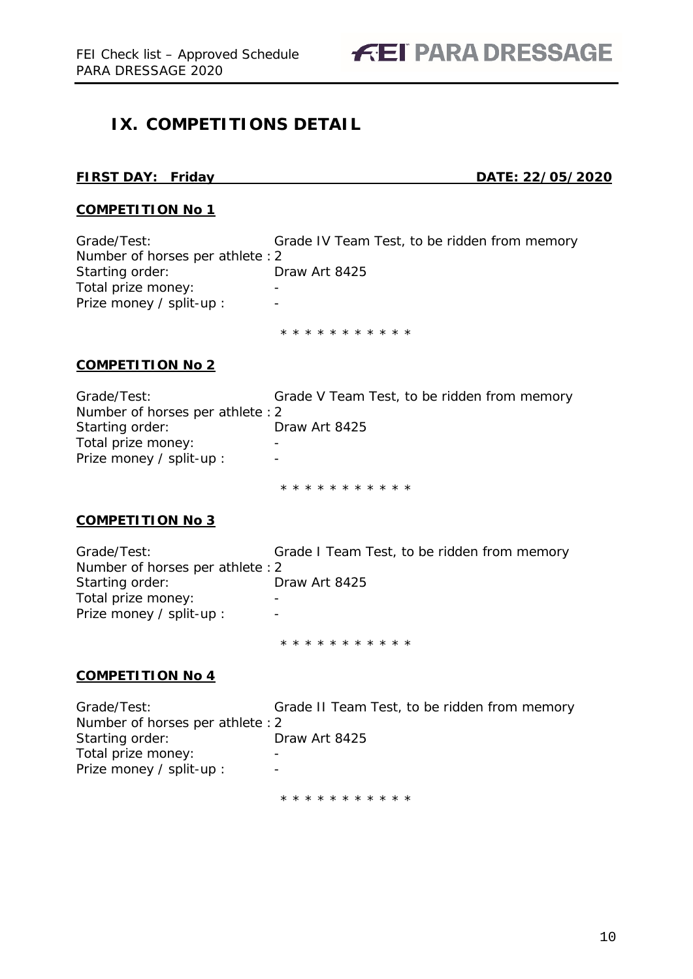FEI Check list – Approved Schedule **FEI PARA DRESSAGE** 

### <span id="page-9-0"></span>**IX. COMPETITIONS DETAIL**

### **FIRST DAY: Friday DATE: 22/05/2020**

### **COMPETITION No 1**

Grade/Test: Grade IV Team Test, to be ridden from memory Number of horses per athlete :2 Starting order: Draw Art 8425 Total prize money: Fig. 2.13. Prize money / split-up : -

\* \* \* \* \* \* \* \* \* \* \*

### **COMPETITION No 2**

| Grade V Team Test, to be ridden from memory |
|---------------------------------------------|
|                                             |
| Draw Art 8425                               |
|                                             |
|                                             |
|                                             |

\* \* \* \* \* \* \* \* \* \* \*

### **COMPETITION No 3**

| Grade/Test:                      | Grade I Team Test, to be ridden from memory |
|----------------------------------|---------------------------------------------|
| Number of horses per athlete : 2 |                                             |
| Starting order:                  | Draw Art 8425                               |
| Total prize money:               | -                                           |
| Prize money / split-up :         | $\overline{\phantom{0}}$                    |
|                                  |                                             |

\* \* \* \* \* \* \* \* \* \* \*

### **COMPETITION No 4**

| Grade/Test:                      | Grade II Team Test, to be ridden from memory |
|----------------------------------|----------------------------------------------|
| Number of horses per athlete : 2 |                                              |
| Starting order:                  | Draw Art 8425                                |
| Total prize money:               |                                              |
| Prize money / split-up :         |                                              |
|                                  | * * * * * * * * * * *                        |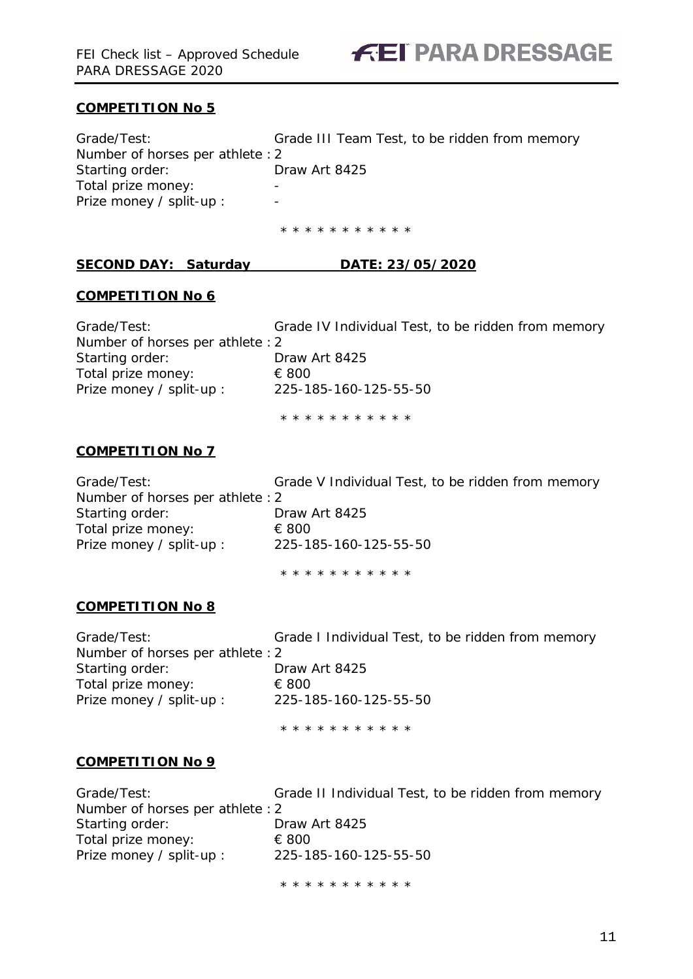

### **COMPETITION No 5**

| Grade/Test:                      | Grade III Team Test, to be ridden from memory |
|----------------------------------|-----------------------------------------------|
| Number of horses per athlete : 2 |                                               |
| Starting order:                  | Draw Art 8425                                 |
| Total prize money:               | -                                             |
| Prize money / split-up :         | -                                             |

\* \* \* \* \* \* \* \* \* \* \*

### **SECOND DAY: Saturday DATE: 23/05/2020**

### **COMPETITION No 6**

| Grade/Test:                     | Grade IV Individual Test, to be ridden from memory |
|---------------------------------|----------------------------------------------------|
| Number of horses per athlete: 2 |                                                    |
| Starting order:                 | Draw Art 8425                                      |
| Total prize money:              | € 800                                              |
| Prize money / split-up :        | 225-185-160-125-55-50                              |
|                                 |                                                    |

\* \* \* \* \* \* \* \* \* \* \*

### **COMPETITION No 7**

Grade/Test: Grade V Individual Test, to be ridden from memory Number of horses per athlete :2 Starting order: Draw Art 8425 Total prize money: € 800<br>Prize money / split-up : 225-1 Prize money / split-up : 225-185-160-125-55-50

\* \* \* \* \* \* \* \* \* \* \*

### **COMPETITION No 8**

| Grade/Test:                      | Grade I Individual Test, to be ridden from memory |
|----------------------------------|---------------------------------------------------|
| Number of horses per athlete : 2 |                                                   |
| Starting order:                  | Draw Art 8425                                     |
| Total prize money:               | € 800                                             |
| Prize money / split-up :         | 225-185-160-125-55-50                             |
|                                  |                                                   |

\* \* \* \* \* \* \* \* \* \* \*

### **COMPETITION No 9**

| Grade/Test:                      | Grade II Individual Test, to be ridden from memory |
|----------------------------------|----------------------------------------------------|
| Number of horses per athlete : 2 |                                                    |
| Starting order:                  | Draw Art 8425                                      |
| Total prize money:               | € 800                                              |
| Prize money / split-up :         | 225-185-160-125-55-50                              |
|                                  |                                                    |

\* \* \* \* \* \* \* \* \* \* \*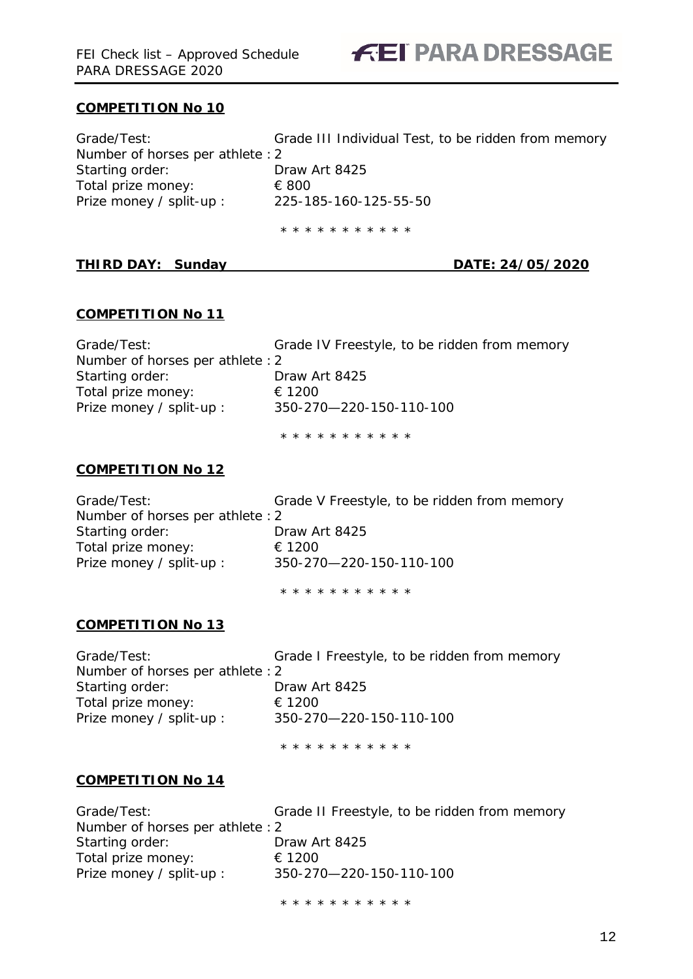

### **COMPETITION No 10**

| Grade/Test:                     | Grade III Individual Test, to be ridden from memory |
|---------------------------------|-----------------------------------------------------|
| Number of horses per athlete: 2 |                                                     |
| Starting order:                 | Draw Art 8425                                       |
| Total prize money:              | € 800                                               |
| Prize money / split-up :        | 225-185-160-125-55-50                               |
|                                 |                                                     |

\* \* \* \* \* \* \* \* \* \* \*

### **THIRD DAY: Sunday DATE: 24/05/2020**

### **COMPETITION No 11**

| Grade/Test:                     | Grade IV Freestyle, to be ridden from memory |
|---------------------------------|----------------------------------------------|
| Number of horses per athlete: 2 |                                              |
| Starting order:                 | Draw Art 8425                                |
| Total prize money:              | € 1200                                       |
| Prize money / split-up :        | 350-270-220-150-110-100                      |
|                                 |                                              |

\* \* \* \* \* \* \* \* \* \* \*

### **COMPETITION No 12**

| Grade/Test:                      | Grade V Freestyle, to be ridden from memory |
|----------------------------------|---------------------------------------------|
| Number of horses per athlete : 2 |                                             |
| Starting order:                  | Draw Art 8425                               |
| Total prize money:               | € 1200                                      |
| Prize money / split-up :         | 350-270-220-150-110-100                     |
|                                  |                                             |

\* \* \* \* \* \* \* \* \* \* \*

### **COMPETITION No 13**

| Grade/Test:                     | C |
|---------------------------------|---|
| Number of horses per athlete: 2 |   |
| Starting order:                 | E |
| Total prize money:              | € |
| Prize money / split-up :        | 3 |

Grade I Freestyle, to be ridden from memory Draw Art 8425  $∈ 1200$ ey / split-up : 350-270—220-150-110-100

\* \* \* \* \* \* \* \* \* \* \*

### **COMPETITION No 14**

| Grade/Test:                      | Grade II Freestyle, to be ridden from memory |
|----------------------------------|----------------------------------------------|
| Number of horses per athlete : 2 |                                              |
| Starting order:                  | Draw Art 8425                                |
| Total prize money:               | € 1200                                       |
| Prize money / split-up :         | 350-270-220-150-110-100                      |

\* \* \* \* \* \* \* \* \* \* \*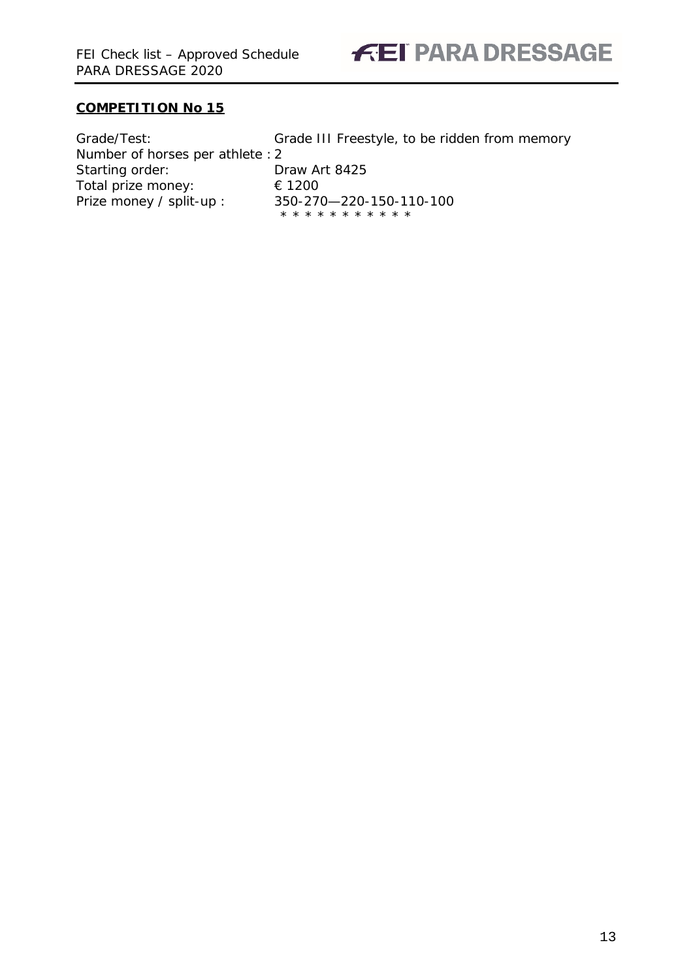

### **COMPETITION No 15**

| Grade/Test:                     | Grade III Freestyle, to be ridden from memory    |
|---------------------------------|--------------------------------------------------|
| Number of horses per athlete: 2 |                                                  |
| Starting order:                 | Draw Art 8425                                    |
| Total prize money:              | € 1200                                           |
| Prize money / split-up :        | 350-270-220-150-110-100<br>* * * * * * * * * * * |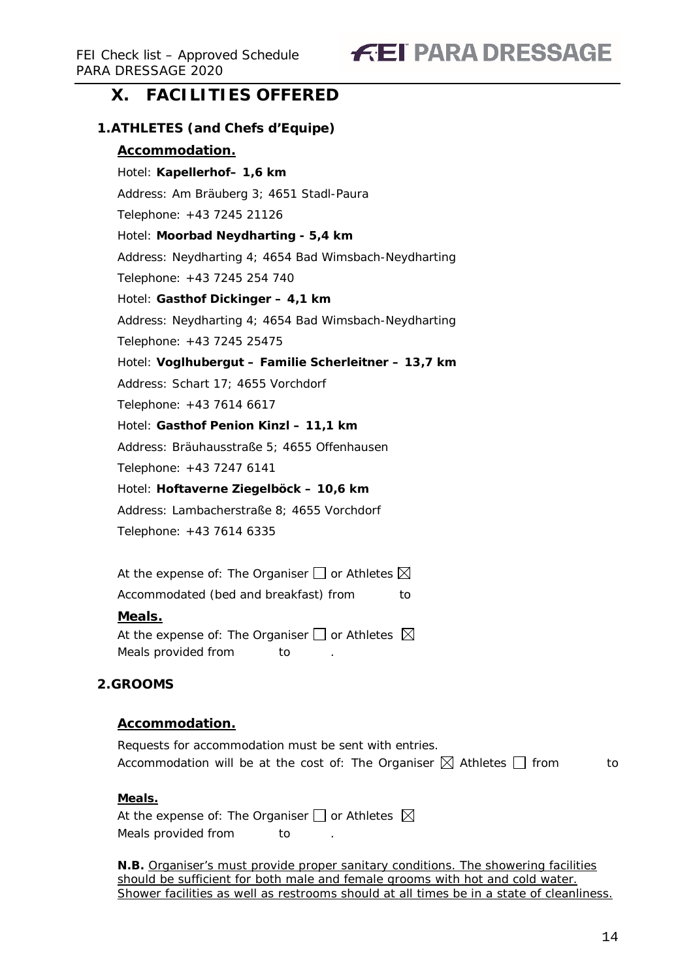## **FEI PARA DRESSAGE**

### <span id="page-13-0"></span>**X. FACILITIES OFFERED**

### <span id="page-13-1"></span>**1.ATHLETES (and Chefs d'Equipe)**

### **Accommodation.**

Hotel: **Kapellerhof– 1,6 km** Address: Am Bräuberg 3; 4651 Stadl-Paura Telephone: +43 7245 21126 Hotel: **Moorbad Neydharting - 5,4 km** Address: Neydharting 4; 4654 Bad Wimsbach-Neydharting Telephone: +43 7245 254 740 Hotel: **Gasthof Dickinger – 4,1 km** Address: Neydharting 4; 4654 Bad Wimsbach-Neydharting Telephone: +43 7245 25475 Hotel: **Voglhubergut – Familie Scherleitner – 13,7 km** Address: Schart 17; 4655 Vorchdorf Telephone: +43 7614 6617 Hotel: **Gasthof Penion Kinzl – 11,1 km** Address: Bräuhausstraße 5; 4655 Offenhausen

Telephone: +43 7247 6141

Hotel: **Hoftaverne Ziegelböck – 10,6 km**

Address: Lambacherstraße 8; 4655 Vorchdorf

Telephone: +43 7614 6335

At the expense of: The Organiser  $\Box$  or Athletes  $\boxtimes$ 

Accommodated (bed and breakfast) from to

### **Meals.**

At the expense of: The Organiser  $\Box$  or Athletes  $\boxtimes$ Meals provided from to

### <span id="page-13-2"></span>**2.GROOMS**

### **Accommodation.**

Requests for accommodation must be sent with entries. Accommodation will be at the cost of: The Organiser  $\boxtimes$  Athletes  $\Box$  from to

### **Meals.**

At the expense of: The Organiser  $\Box$  or Athletes  $\boxtimes$ Meals provided from to

**N.B.** Organiser's must provide proper sanitary conditions. The showering facilities should be sufficient for both male and female grooms with hot and cold water. Shower facilities as well as restrooms should at all times be in a state of cleanliness.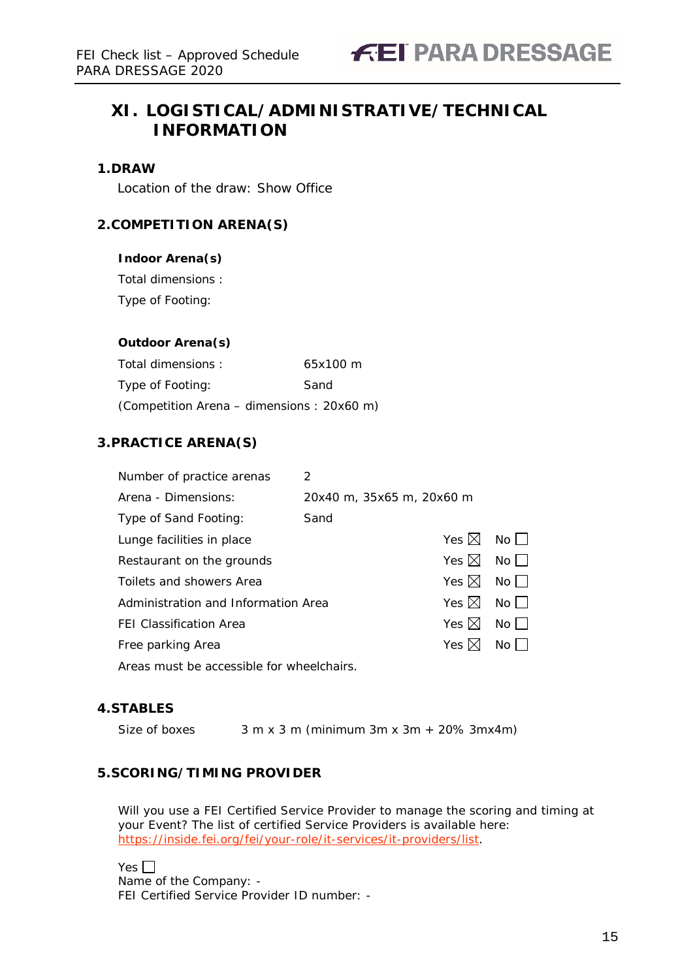### <span id="page-14-0"></span>**XI. LOGISTICAL/ADMINISTRATIVE/TECHNICAL INFORMATION**

### <span id="page-14-1"></span>**1.DRAW**

Location of the draw: Show Office

### <span id="page-14-2"></span>**2.COMPETITION ARENA(S)**

### **Indoor Arena(s)**

Total dimensions :

Type of Footing:

### **Outdoor Arena(s)**

Total dimensions : 65x100 m Type of Footing: Sand (Competition Arena – dimensions : 20x60 m)

### <span id="page-14-3"></span>**3.PRACTICE ARENA(S)**

| Number of practice arenas                 | 2                         |                           |                                |
|-------------------------------------------|---------------------------|---------------------------|--------------------------------|
| Arena - Dimensions:                       | 20x40 m, 35x65 m, 20x60 m |                           |                                |
| Type of Sand Footing:                     | Sand                      |                           |                                |
| Lunge facilities in place                 |                           | Yes $\boxtimes$ No $\Box$ |                                |
| Restaurant on the grounds                 |                           | Yes $\boxtimes$ No $\Box$ |                                |
| Toilets and showers Area                  |                           | Yes $\boxtimes$           | No                             |
| Administration and Information Area       |                           | Yes $\boxtimes$           | $No$ $\Box$                    |
| <b>FEI Classification Area</b>            |                           | Yes $\boxtimes$           | $No$ $\Box$                    |
| Free parking Area                         |                           | Yes $\boxtimes$           | $\mathsf{No} \mathrel{\sqcup}$ |
| Areas must be accessible for wheelchairs. |                           |                           |                                |

### <span id="page-14-4"></span>**4.STABLES**

Size of boxes  $3 m x 3 m (minimum 3m x 3m + 20\% 3mx 4m)$ 

### <span id="page-14-5"></span>**5.SCORING/TIMING PROVIDER**

Will you use a FEI Certified Service Provider to manage the scoring and timing at your Event? The list of certified Service Providers is available here: [https://inside.fei.org/fei/your-role/it-services/it-providers/list.](https://inside.fei.org/fei/your-role/it-services/it-providers/list)

Yes  $\Box$ Name of the Company: - FEI Certified Service Provider ID number: -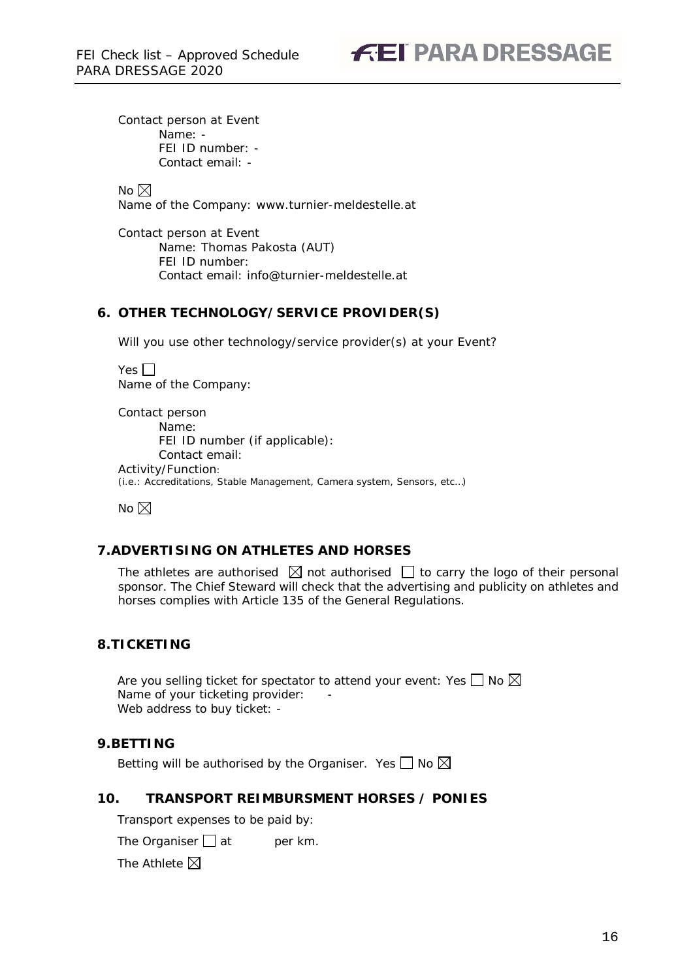Contact person at Event Name: - FEI ID number: - Contact email: -

No  $\boxtimes$ Name of the Company: www.turnier-meldestelle.at

Contact person at Event Name: Thomas Pakosta (AUT) FEI ID number: Contact email: info@turnier-meldestelle.at

### **6. OTHER TECHNOLOGY/SERVICE PROVIDER(S)**

Will you use other technology/service provider(s) at your Event?

Yes  $\Box$ Name of the Company:

Contact person Name: FEI ID number (if applicable): Contact email: Activity/Function: (i.e.: Accreditations, Stable Management, Camera system, Sensors, etc…)

No  $\boxtimes$ 

### <span id="page-15-0"></span>**7.ADVERTISING ON ATHLETES AND HORSES**

The athletes are authorised  $\boxtimes$  not authorised  $\Box$  to carry the logo of their personal sponsor. The Chief Steward will check that the advertising and publicity on athletes and horses complies with Article 135 of the General Regulations.

### <span id="page-15-1"></span>**8.TICKETING**

Are you selling ticket for spectator to attend your event: Yes  $\Box$  No  $\boxtimes$ Name of your ticketing provider: Web address to buy ticket: -

### <span id="page-15-2"></span>**9.BETTING**

Betting will be authorised by the Organiser. Yes  $\Box$  No  $\boxtimes$ 

### <span id="page-15-3"></span>**10. TRANSPORT REIMBURSMENT HORSES / PONIES**

Transport expenses to be paid by:

The Organiser  $\Box$  at per km.

The Athlete  $\boxtimes$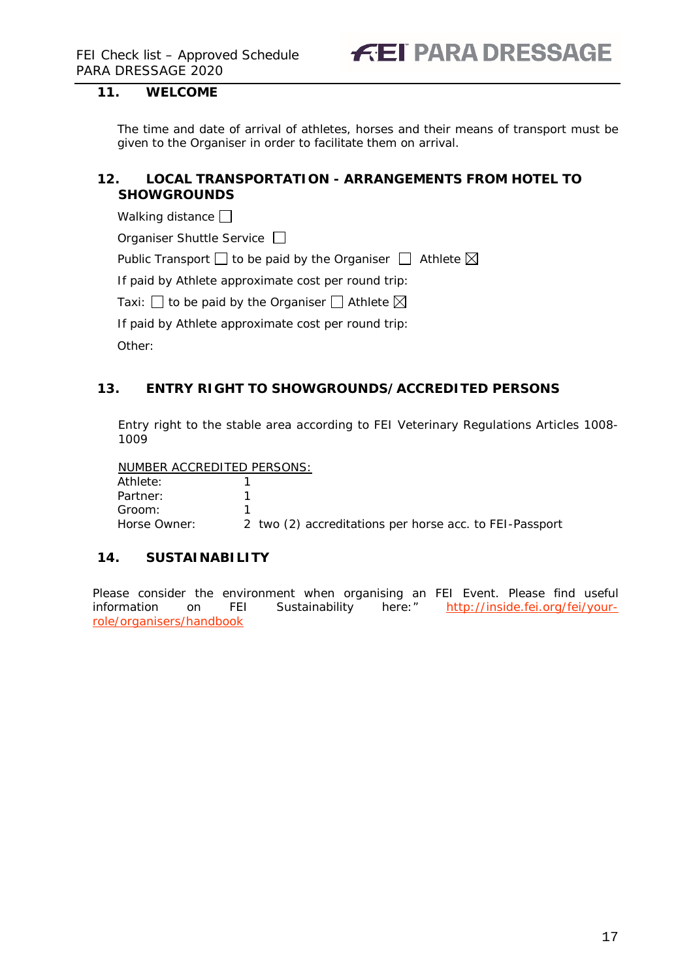### <span id="page-16-0"></span>**11. WELCOME**

The time and date of arrival of athletes, horses and their means of transport must be given to the Organiser in order to facilitate them on arrival.

### <span id="page-16-1"></span>**12. LOCAL TRANSPORTATION - ARRANGEMENTS FROM HOTEL TO SHOWGROUNDS**

Walking distance  $\Box$ 

Organiser Shuttle Service  $\Box$ 

Public Transport  $\Box$  to be paid by the Organiser  $\Box$  Athlete  $\boxtimes$ 

If paid by Athlete approximate cost per round trip:

Taxi:  $\Box$  to be paid by the Organiser  $\Box$  Athlete  $\boxtimes$ 

If paid by Athlete approximate cost per round trip:

Other:

### <span id="page-16-2"></span>**13. ENTRY RIGHT TO SHOWGROUNDS/ACCREDITED PERSONS**

Entry right to the stable area according to FEI Veterinary Regulations Articles 1008- 1009

NUMBER ACCREDITED PERSONS:

Athlete: 1 Partner: 1 Groom: 1 Horse Owner: 2 two (2) accreditations per horse acc. to FEI-Passport

### <span id="page-16-3"></span>**14. SUSTAINABILITY**

Please consider the environment when organising an FEI Event. Please find useful information on FEI Sustainability here:" [http://inside.fei.org/fei/your](http://inside.fei.org/fei/your-role/organisers/handbook)[role/organisers/handbook](http://inside.fei.org/fei/your-role/organisers/handbook)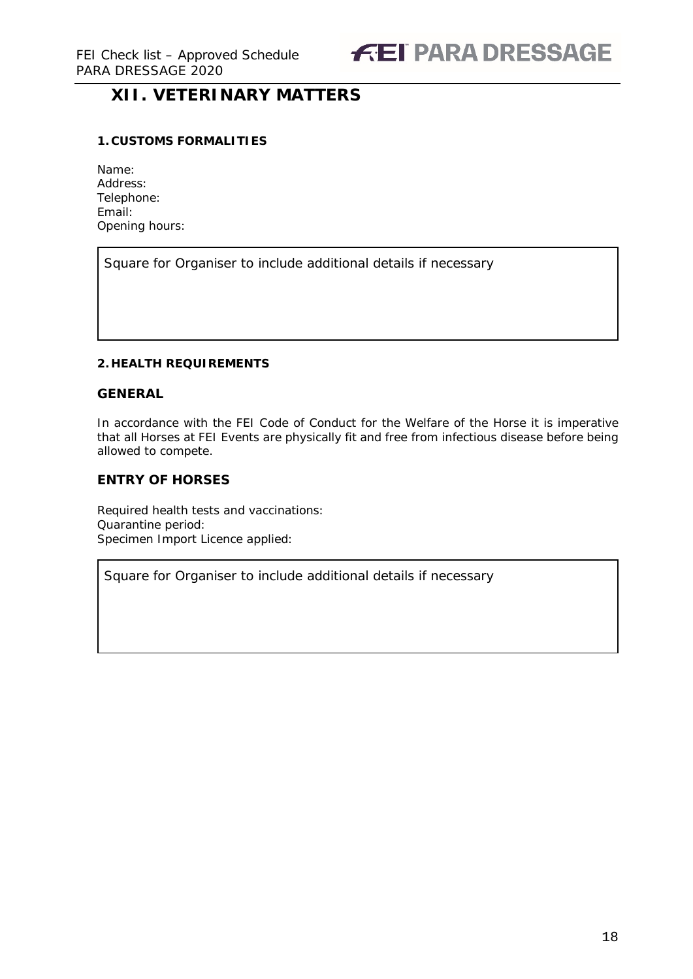### <span id="page-17-0"></span>**XII. VETERINARY MATTERS**

### <span id="page-17-1"></span>**1. CUSTOMS FORMALITIES**

| Name:          |
|----------------|
| Address:       |
| Telephone:     |
| Fmail:         |
| Opening hours: |

Square for Organiser to include additional details if necessary

### <span id="page-17-2"></span>**2. HEALTH REQUIREMENTS**

### **GENERAL**

In accordance with the FEI Code of Conduct for the Welfare of the Horse it is imperative that all Horses at FEI Events are physically fit and free from infectious disease before being allowed to compete.

### **ENTRY OF HORSES**

Required health tests and vaccinations: Quarantine period: Specimen Import Licence applied:

Square for Organiser to include additional details if necessary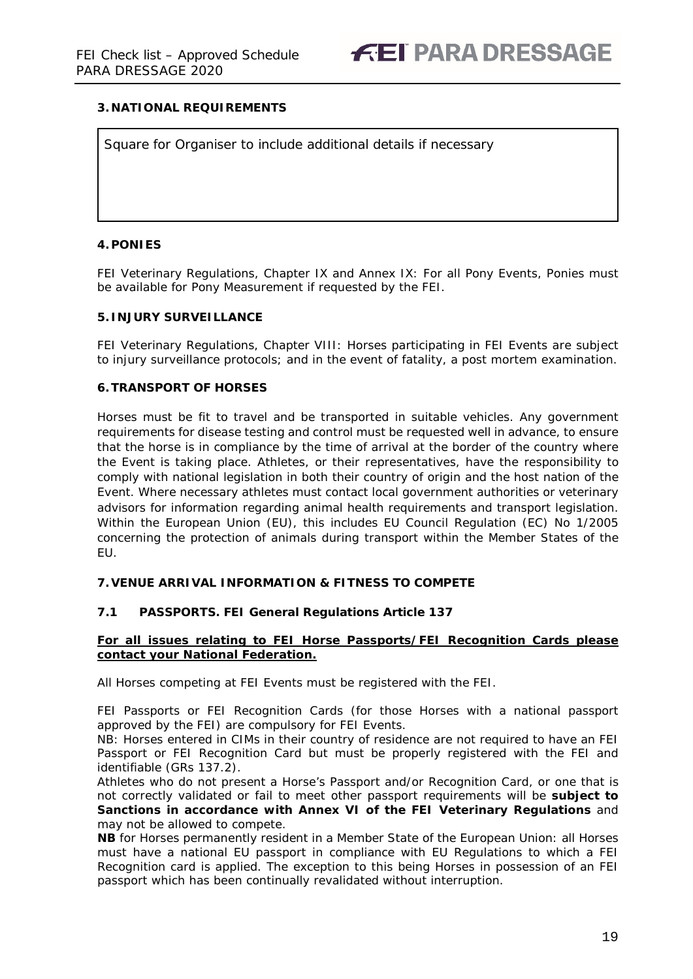### <span id="page-18-0"></span>**3. NATIONAL REQUIREMENTS**

Square for Organiser to include additional details if necessary

### <span id="page-18-1"></span>**4.PONIES**

FEI Veterinary Regulations, Chapter IX and Annex IX: For all Pony Events, Ponies must be available for Pony Measurement if requested by the FEI.

#### <span id="page-18-2"></span>**5. INJURY SURVEILLANCE**

FEI Veterinary Regulations, Chapter VIII: Horses participating in FEI Events are subject to injury surveillance protocols; and in the event of fatality, a post mortem examination.

#### <span id="page-18-3"></span>**6.TRANSPORT OF HORSES**

Horses must be fit to travel and be transported in suitable vehicles. Any government requirements for disease testing and control must be requested well in advance, to ensure that the horse is in compliance by the time of arrival at the border of the country where the Event is taking place. Athletes, or their representatives, have the responsibility to comply with national legislation in both their country of origin and the host nation of the Event. Where necessary athletes must contact local government authorities or veterinary advisors for information regarding animal health requirements and transport legislation. Within the European Union (EU), this includes EU Council Regulation (EC) No 1/2005 concerning the protection of animals during transport within the Member States of the EU.

#### <span id="page-18-4"></span>**7.VENUE ARRIVAL INFORMATION & FITNESS TO COMPETE**

### **7.1 PASSPORTS. FEI General Regulations Article 137**

#### **For all issues relating to FEI Horse Passports/FEI Recognition Cards please contact your National Federation.**

All Horses competing at FEI Events must be registered with the FEI.

FEI Passports or FEI Recognition Cards (for those Horses with a national passport approved by the FEI) are compulsory for FEI Events.

NB: Horses entered in CIMs in their country of residence are not required to have an FEI Passport or FEI Recognition Card but must be properly registered with the FEI and identifiable (GRs 137.2).

Athletes who do not present a Horse's Passport and/or Recognition Card, or one that is not correctly validated or fail to meet other passport requirements will be **subject to Sanctions in accordance with Annex VI of the FEI Veterinary Regulations** and may not be allowed to compete.

**NB** for Horses permanently resident in a Member State of the European Union: all Horses must have a national EU passport in compliance with EU Regulations to which a FEI Recognition card is applied. The exception to this being Horses in possession of an FEI passport which has been continually revalidated without interruption.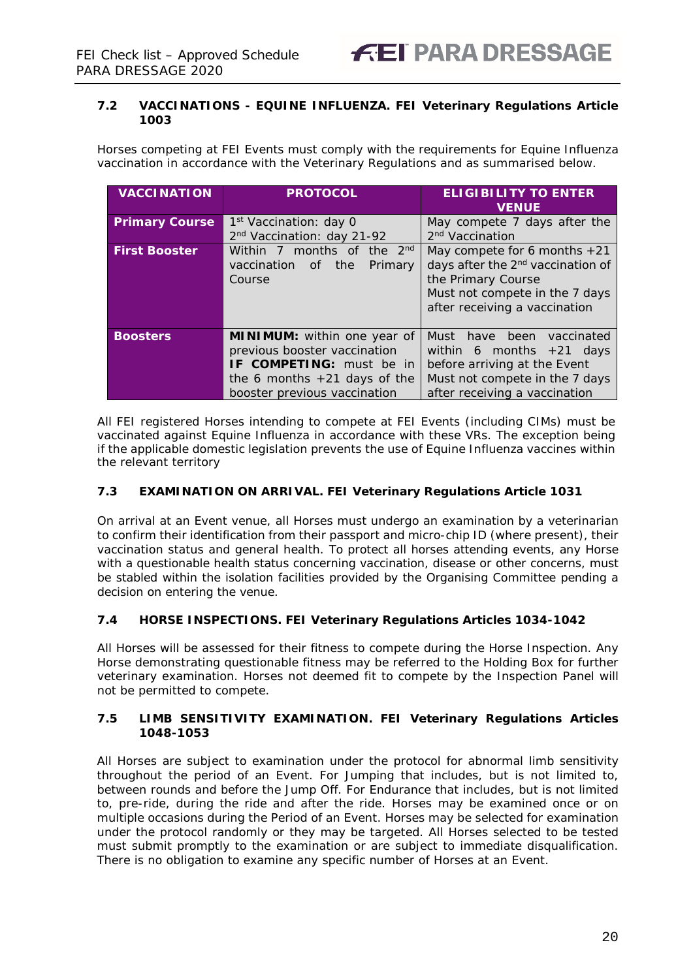### **7.2 VACCINATIONS - EQUINE INFLUENZA. FEI Veterinary Regulations Article 1003**

Horses competing at FEI Events must comply with the requirements for Equine Influenza vaccination in accordance with the Veterinary Regulations and as summarised below.

| <b>VACCINATION</b>    | <b>PROTOCOL</b>                        | <b>ELIGIBILITY TO ENTER</b><br><b>VENUE</b>   |  |  |
|-----------------------|----------------------------------------|-----------------------------------------------|--|--|
| <b>Primary Course</b> | 1 <sup>st</sup> Vaccination: day 0     | May compete 7 days after the                  |  |  |
|                       | 2 <sup>nd</sup> Vaccination: day 21-92 | 2 <sup>nd</sup> Vaccination                   |  |  |
| <b>First Booster</b>  | Within 7 months of the 2 <sup>nd</sup> | May compete for 6 months $+21$                |  |  |
|                       | vaccination<br>the<br>Primary<br>of    | days after the 2 <sup>nd</sup> vaccination of |  |  |
|                       | Course                                 | the Primary Course                            |  |  |
|                       | Must not compete in the 7 days         |                                               |  |  |
|                       | after receiving a vaccination          |                                               |  |  |
|                       |                                        |                                               |  |  |
| <b>Boosters</b>       | <b>MINIMUM:</b> within one year of     | Must have been vaccinated                     |  |  |
|                       | previous booster vaccination           | within 6 months $+21$ days                    |  |  |
|                       | <b>IF COMPETING:</b> must be in        | before arriving at the Event                  |  |  |
|                       | the 6 months $+21$ days of the         | Must not compete in the 7 days                |  |  |
|                       | booster previous vaccination           | after receiving a vaccination                 |  |  |

All FEI registered Horses intending to compete at FEI Events (including CIMs) must be vaccinated against Equine Influenza in accordance with these VRs. The exception being if the applicable domestic legislation prevents the use of Equine Influenza vaccines within the relevant territory

### **7.3 EXAMINATION ON ARRIVAL. FEI Veterinary Regulations Article 1031**

On arrival at an Event venue, all Horses must undergo an examination by a veterinarian to confirm their identification from their passport and micro-chip ID (where present), their vaccination status and general health. To protect all horses attending events, any Horse with a questionable health status concerning vaccination, disease or other concerns, must be stabled within the isolation facilities provided by the Organising Committee pending a decision on entering the venue.

### **7.4 HORSE INSPECTIONS. FEI Veterinary Regulations Articles 1034-1042**

All Horses will be assessed for their fitness to compete during the Horse Inspection. Any Horse demonstrating questionable fitness may be referred to the Holding Box for further veterinary examination. Horses not deemed fit to compete by the Inspection Panel will not be permitted to compete.

### **7.5 LIMB SENSITIVITY EXAMINATION. FEI Veterinary Regulations Articles 1048-1053**

All Horses are subject to examination under the protocol for abnormal limb sensitivity throughout the period of an Event. For Jumping that includes, but is not limited to, between rounds and before the Jump Off. For Endurance that includes, but is not limited to, pre-ride, during the ride and after the ride. Horses may be examined once or on multiple occasions during the Period of an Event. Horses may be selected for examination under the protocol randomly or they may be targeted. All Horses selected to be tested must submit promptly to the examination or are subject to immediate disqualification. There is no obligation to examine any specific number of Horses at an Event.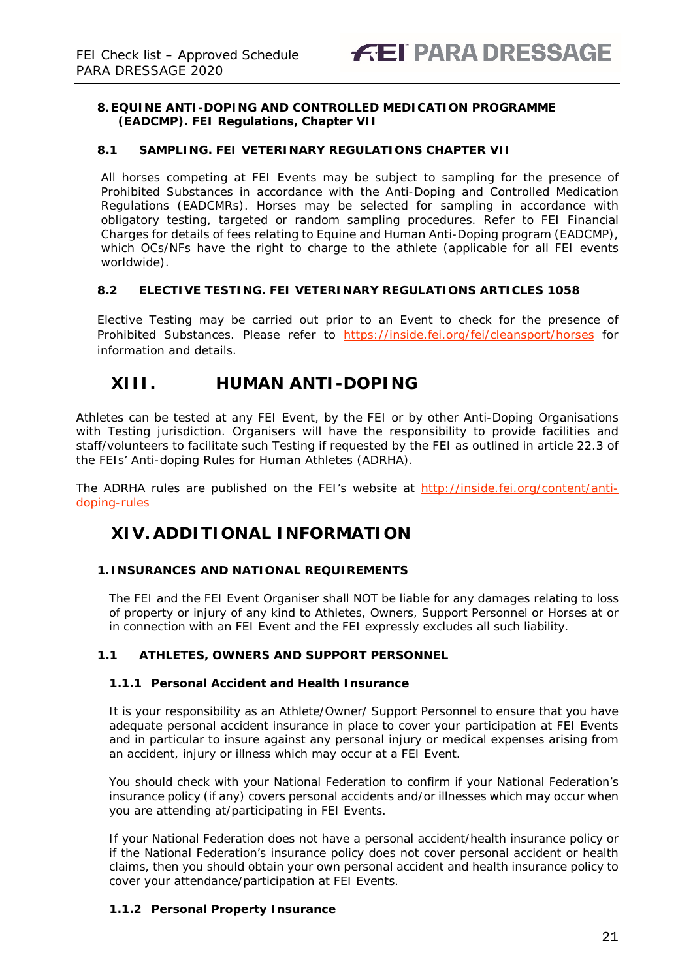### **8.EQUINE ANTI-DOPING AND CONTROLLED MEDICATION PROGRAMME (EADCMP). FEI Regulations, Chapter VII**

### **8.1 SAMPLING. FEI VETERINARY REGULATIONS CHAPTER VII**

All horses competing at FEI Events may be subject to sampling for the presence of Prohibited Substances in accordance with the Anti-Doping and Controlled Medication Regulations (EADCMRs). Horses may be selected for sampling in accordance with obligatory testing, targeted or random sampling procedures. Refer to FEI Financial Charges for details of fees relating to Equine and Human Anti-Doping program (EADCMP), which OCs/NFs have the right to charge to the athlete (applicable for all FEI events worldwide).

### **8.2 ELECTIVE TESTING. FEI VETERINARY REGULATIONS ARTICLES 1058**

Elective Testing may be carried out prior to an Event to check for the presence of Prohibited Substances. Please refer to <https://inside.fei.org/fei/cleansport/horses> for information and details.

### <span id="page-20-0"></span>**XIII. HUMAN ANTI-DOPING**

Athletes can be tested at any FEI Event, by the FEI or by other Anti-Doping Organisations with Testing jurisdiction. Organisers will have the responsibility to provide facilities and staff/volunteers to facilitate such Testing if requested by the FEI as outlined in article 22.3 of the FEIs' Anti-doping Rules for Human Athletes (ADRHA).

The ADRHA rules are published on the FEI's website at [http://inside.fei.org/content/anti](http://inside.fei.org/content/anti-doping-rules)[doping-rules](http://inside.fei.org/content/anti-doping-rules)

### <span id="page-20-1"></span>**XIV. ADDITIONAL INFORMATION**

### <span id="page-20-2"></span>**1. INSURANCES AND NATIONAL REQUIREMENTS**

The FEI and the FEI Event Organiser shall NOT be liable for any damages relating to loss of property or injury of any kind to Athletes, Owners, Support Personnel or Horses at or in connection with an FEI Event and the FEI expressly excludes all such liability.

### **1.1 ATHLETES, OWNERS AND SUPPORT PERSONNEL**

### **1.1.1 Personal Accident and Health Insurance**

It is your responsibility as an Athlete/Owner/ Support Personnel to ensure that you have adequate personal accident insurance in place to cover your participation at FEI Events and in particular to insure against any personal injury or medical expenses arising from an accident, injury or illness which may occur at a FEI Event.

You should check with your National Federation to confirm if your National Federation's insurance policy (if any) covers personal accidents and/or illnesses which may occur when you are attending at/participating in FEI Events.

If your National Federation does not have a personal accident/health insurance policy or if the National Federation's insurance policy does not cover personal accident or health claims, then you should obtain your own personal accident and health insurance policy to cover your attendance/participation at FEI Events.

### **1.1.2 Personal Property Insurance**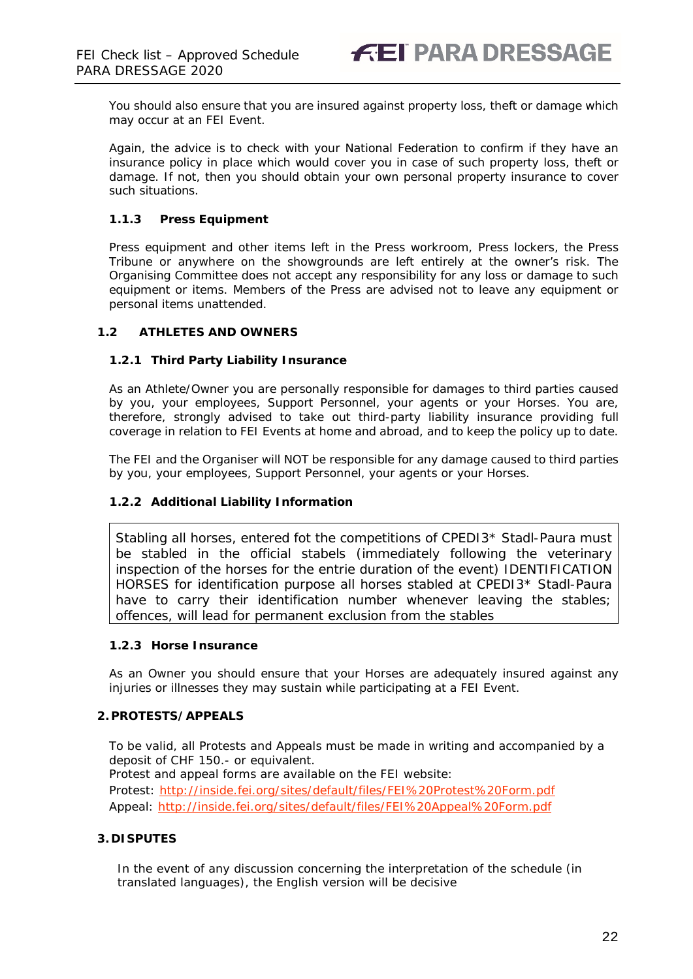You should also ensure that you are insured against property loss, theft or damage which may occur at an FEI Event.

Again, the advice is to check with your National Federation to confirm if they have an insurance policy in place which would cover you in case of such property loss, theft or damage. If not, then you should obtain your own personal property insurance to cover such situations.

### **1.1.3 Press Equipment**

Press equipment and other items left in the Press workroom, Press lockers, the Press Tribune or anywhere on the showgrounds are left entirely at the owner's risk. The Organising Committee does not accept any responsibility for any loss or damage to such equipment or items. Members of the Press are advised not to leave any equipment or personal items unattended.

### **1.2 ATHLETES AND OWNERS**

### **1.2.1 Third Party Liability Insurance**

As an Athlete/Owner you are personally responsible for damages to third parties caused by you, your employees, Support Personnel, your agents or your Horses. You are, therefore, strongly advised to take out third-party liability insurance providing full coverage in relation to FEI Events at home and abroad, and to keep the policy up to date.

The FEI and the Organiser will NOT be responsible for any damage caused to third parties by you, your employees, Support Personnel, your agents or your Horses.

### **1.2.2 Additional Liability Information**

Stabling all horses, entered fot the competitions of CPEDI3\* Stadl-Paura must be stabled in the official stabels (immediately following the veterinary inspection of the horses for the entrie duration of the event) IDENTIFICATION HORSES for identification purpose all horses stabled at CPEDI3\* Stadl-Paura have to carry their identification number whenever leaving the stables; offences, will lead for permanent exclusion from the stables

### **1.2.3 Horse Insurance**

As an Owner you should ensure that your Horses are adequately insured against any injuries or illnesses they may sustain while participating at a FEI Event.

### <span id="page-21-0"></span>**2.PROTESTS/APPEALS**

To be valid, all Protests and Appeals must be made in writing and accompanied by a deposit of CHF 150.- or equivalent. Protest and appeal forms are available on the FEI website: Protest:<http://inside.fei.org/sites/default/files/FEI%20Protest%20Form.pdf> Appeal:<http://inside.fei.org/sites/default/files/FEI%20Appeal%20Form.pdf>

### <span id="page-21-1"></span>**3. DISPUTES**

In the event of any discussion concerning the interpretation of the schedule (in translated languages), the English version will be decisive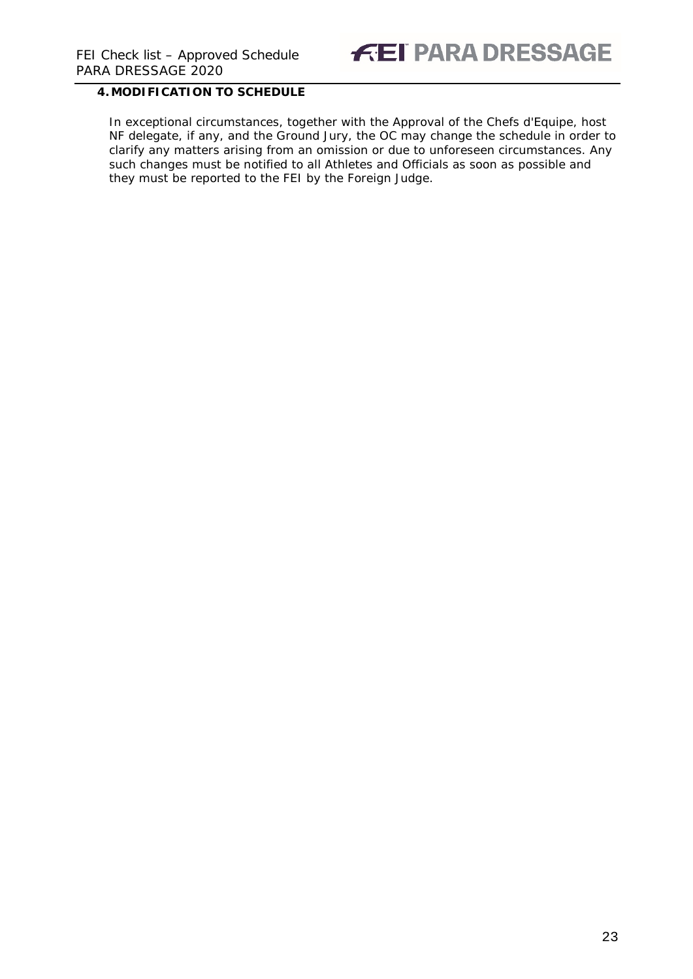## **FEI PARA DRESSAGE**

### <span id="page-22-0"></span>**4.MODIFICATION TO SCHEDULE**

In exceptional circumstances, together with the Approval of the Chefs d'Equipe, host NF delegate, if any, and the Ground Jury, the OC may change the schedule in order to clarify any matters arising from an omission or due to unforeseen circumstances. Any such changes must be notified to all Athletes and Officials as soon as possible and they must be reported to the FEI by the Foreign Judge.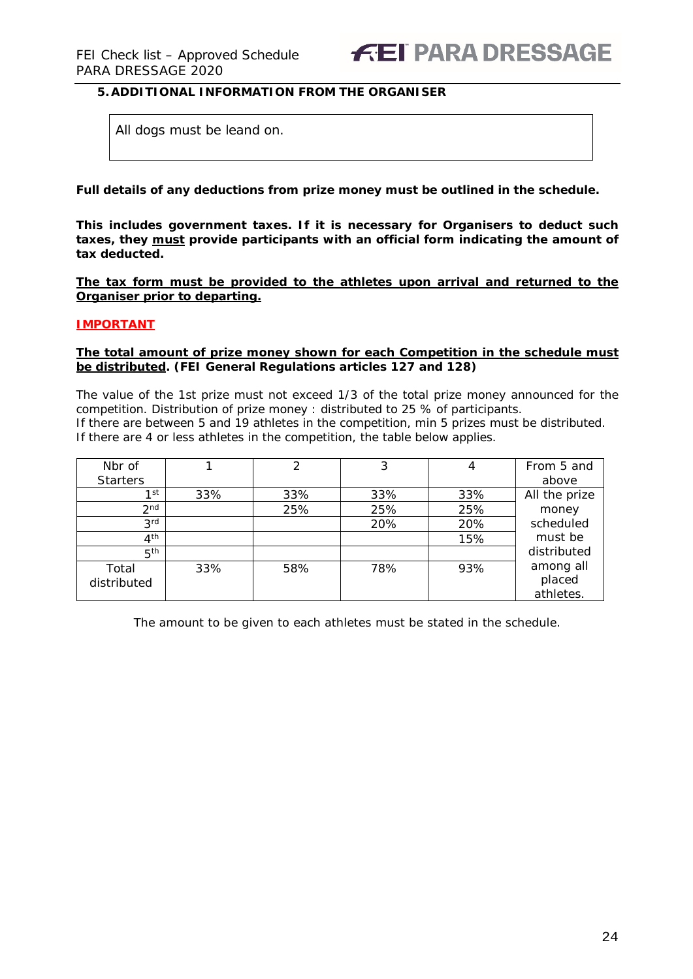### <span id="page-23-0"></span>**5.ADDITIONAL INFORMATION FROM THE ORGANISER**

All dogs must be leand on.

**Full details of any deductions from prize money must be outlined in the schedule.**

**This includes government taxes. If it is necessary for Organisers to deduct such taxes, they must provide participants with an official form indicating the amount of tax deducted.** 

**The tax form must be provided to the athletes upon arrival and returned to the Organiser prior to departing.**

#### **IMPORTANT**

#### **The total amount of prize money shown for each Competition in the schedule must be distributed. (FEI General Regulations articles 127 and 128)**

The value of the 1st prize must not exceed 1/3 of the total prize money announced for the competition. Distribution of prize money : distributed to 25 % of participants. If there are between 5 and 19 athletes in the competition, min 5 prizes must be distributed. If there are 4 or less athletes in the competition, the table below applies.

| Nbr of          |     | 2   | 3   | 4   | From 5 and    |
|-----------------|-----|-----|-----|-----|---------------|
| <b>Starters</b> |     |     |     |     | above         |
| 1st             | 33% | 33% | 33% | 33% | All the prize |
| 2 <sub>nd</sub> |     | 25% | 25% | 25% | money         |
| 3 <sub>rd</sub> |     |     | 20% | 20% | scheduled     |
| 4 <sup>th</sup> |     |     |     | 15% | must be       |
| 5 <sup>th</sup> |     |     |     |     | distributed   |
| Total           | 33% | 58% | 78% | 93% | among all     |
| distributed     |     |     |     |     | placed        |
|                 |     |     |     |     | athletes.     |

The amount to be given to each athletes must be stated in the schedule.